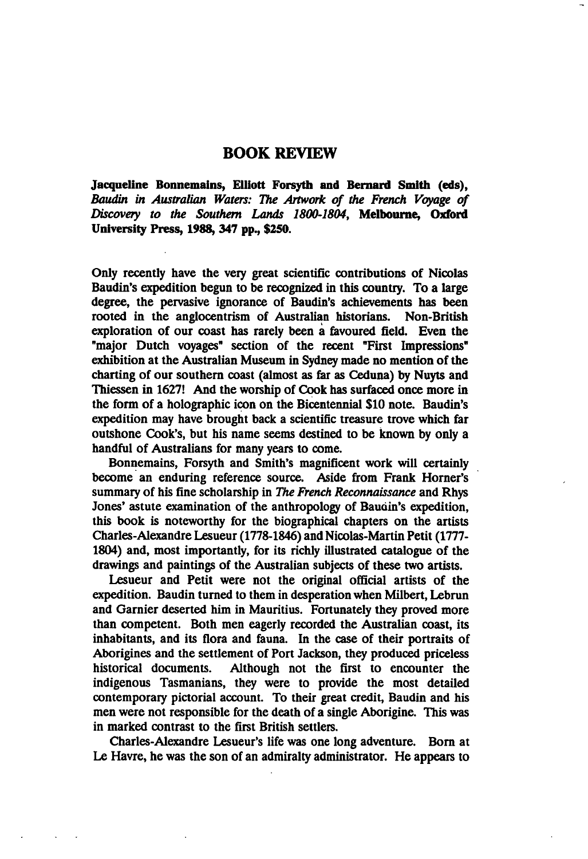## BOOK REVIEW

Jacqueline Bonnemains, Elliott Forsyth and Bernard Smith (eds), Baudin in Australian Waters: The Artwork of the French Voyage of Discovery to the Southern Lands 1800-1804, Melbourne, Oxford University Press, 1988, 347 pp., \$250.

Only recently have the very great scientific contributions of Nicolas Baudin's expedition begun to be recognized in this country. To a large degree, the pervasive ignorance of Baudin's achievements has been rooted in the anglocentrism of Australian historians. Non-British exploration of our coast has rarely been a favoured field. Even the "major Dutch voyages" section of the recent "First Impressions" exhibition at the Australian Museum in Sydney made no mention of the charting of our southern coast (almost as far as Ceduna) by Nuyts and Thiessen in 1627! And the worship of Cook has surfaced once more in the form of a holographic icon on the Bicentennial \$10 note. Baudin's expedition may have brought back a scientific treasure trove which far outshone Cook's, but his name seems destined to be known by only handful of Australians for many years to come.

Bonnemains, Forsyth and Smith's magnificent work will certainly become an enduring reference source. Aside from Frank Horner's summary of his fine scholarship in The French Reconnaissance and Rhys Jones' astute examination of the anthropology of Baudin's expedition, this book is noteworthy for the biographical chapters on the artists Charles-Alexandre Lesueur (1778-1846) and Nicolas-Martin Petit (1777- 1804) and, most importantly, for its richly illustrated catalogue of the drawings and paintings of the Australian subjects of these two artists.

Lesueur and Petit were not the original official artists of the expedition. Baudin turned to them in desperation when Milbert, Lebrun and Gamier deserted him in Mauritius. Fortunately they proved more than competent. Both men eagerly recorded the Australian coast, its inhabitants, and its flora and fauna. In the case of their portraits of Aborigines and the settlement of Port Jackson, they produced priceless historical documents. Although not the first to encounter the indigenous Tasmanians, they were to provide the most detailed contemporary pictorial account. To their great credit, Baudin and his men were not responsible for the death of a single Aborigine. This was in marked contrast to the first British settlers.

Charles-Alexandre Lesueur's life was one long adventure. Born at Le Havre, he was the son of an admiralty administrator. He appears to